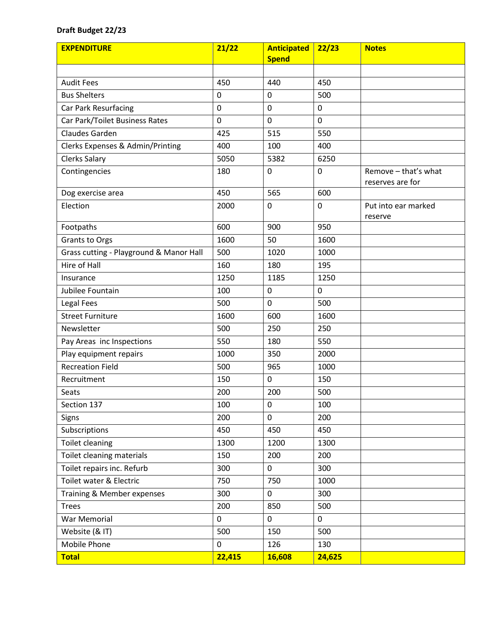## **Draft Budget 22/23**

| <b>EXPENDITURE</b>                      | 21/22          | <b>Anticipated</b> | 22/23       | <b>Notes</b>                             |
|-----------------------------------------|----------------|--------------------|-------------|------------------------------------------|
|                                         |                | <b>Spend</b>       |             |                                          |
|                                         |                |                    |             |                                          |
| <b>Audit Fees</b>                       | 450            | 440                | 450         |                                          |
| <b>Bus Shelters</b>                     | 0              | 0                  | 500         |                                          |
| Car Park Resurfacing                    | $\mathbf 0$    | $\mathbf 0$        | $\mathbf 0$ |                                          |
| Car Park/Toilet Business Rates          | $\overline{0}$ | 0                  | $\mathbf 0$ |                                          |
| Claudes Garden                          | 425            | 515                | 550         |                                          |
| Clerks Expenses & Admin/Printing        | 400            | 100                | 400         |                                          |
| <b>Clerks Salary</b>                    | 5050           | 5382               | 6250        |                                          |
| Contingencies                           | 180            | 0                  | $\mathbf 0$ | Remove - that's what<br>reserves are for |
| Dog exercise area                       | 450            | 565                | 600         |                                          |
| Election                                | 2000           | 0                  | 0           | Put into ear marked<br>reserve           |
| Footpaths                               | 600            | 900                | 950         |                                          |
| Grants to Orgs                          | 1600           | 50                 | 1600        |                                          |
| Grass cutting - Playground & Manor Hall | 500            | 1020               | 1000        |                                          |
| Hire of Hall                            | 160            | 180                | 195         |                                          |
| Insurance                               | 1250           | 1185               | 1250        |                                          |
| Jubilee Fountain                        | 100            | $\mathbf 0$        | $\mathbf 0$ |                                          |
| Legal Fees                              | 500            | 0                  | 500         |                                          |
| <b>Street Furniture</b>                 | 1600           | 600                | 1600        |                                          |
| Newsletter                              | 500            | 250                | 250         |                                          |
| Pay Areas inc Inspections               | 550            | 180                | 550         |                                          |
| Play equipment repairs                  | 1000           | 350                | 2000        |                                          |
| <b>Recreation Field</b>                 | 500            | 965                | 1000        |                                          |
| Recruitment                             | 150            | 0                  | 150         |                                          |
| Seats                                   | 200            | 200                | 500         |                                          |
| Section 137                             | 100            | $\mathbf 0$        | 100         |                                          |
| Signs                                   | 200            | $\pmb{0}$          | 200         |                                          |
| Subscriptions                           | 450            | 450                | 450         |                                          |
| <b>Toilet cleaning</b>                  | 1300           | 1200               | 1300        |                                          |
| Toilet cleaning materials               | 150            | 200                | 200         |                                          |
| Toilet repairs inc. Refurb              | 300            | 0                  | 300         |                                          |
| Toilet water & Electric                 | 750            | 750                | 1000        |                                          |
| Training & Member expenses              | 300            | 0                  | 300         |                                          |
| <b>Trees</b>                            | 200            | 850                | 500         |                                          |
| War Memorial                            | $\pmb{0}$      | $\pmb{0}$          | $\mathbf 0$ |                                          |
| Website (& IT)                          | 500            | 150                | 500         |                                          |
| Mobile Phone                            | 0              | 126                | 130         |                                          |
| <b>Total</b>                            | 22,415         | 16,608             | 24,625      |                                          |